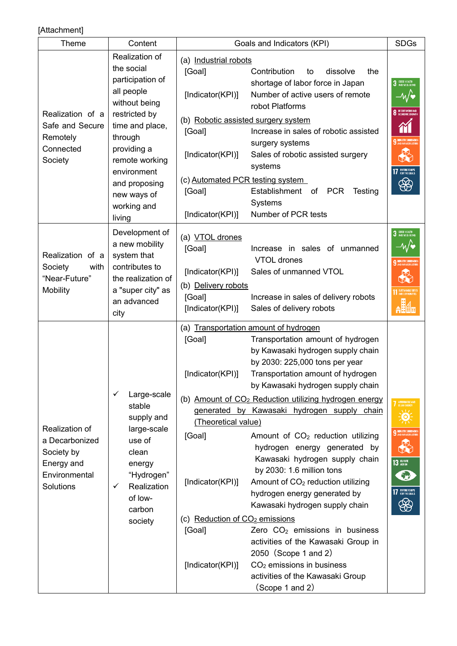## [Attachment]

| Theme                                                                                      | Content                                                                                                                                           | Goals and Indicators (KPI)                                                                                                              |                                                                                                                                                   | <b>SDGs</b>                  |  |
|--------------------------------------------------------------------------------------------|---------------------------------------------------------------------------------------------------------------------------------------------------|-----------------------------------------------------------------------------------------------------------------------------------------|---------------------------------------------------------------------------------------------------------------------------------------------------|------------------------------|--|
| Realization of a<br>Safe and Secure<br>Remotely<br>Connected<br>Society                    | Realization of<br>the social                                                                                                                      | (a) Industrial robots<br>[Goal]<br>Contribution<br>dissolve<br>the<br>to                                                                |                                                                                                                                                   |                              |  |
|                                                                                            | participation of<br>all people<br>without being                                                                                                   | [Indicator(KPI)]                                                                                                                        | shortage of labor force in Japan<br>Number of active users of remote<br>robot Platforms                                                           | 3 GOOD HEALTH                |  |
|                                                                                            | restricted by<br>time and place,<br>through<br>providing a<br>remote working<br>environment                                                       | (b) Robotic assisted surgery system<br>[Goal]                                                                                           | Increase in sales of robotic assisted<br>surgery systems                                                                                          | <b>O</b> DECENT WORK AND     |  |
|                                                                                            |                                                                                                                                                   | [Indicator(KPI)]                                                                                                                        | Sales of robotic assisted surgery<br>systems                                                                                                      | <b>17</b> PARTMERSHIPS       |  |
|                                                                                            | and proposing<br>new ways of<br>working and                                                                                                       | (c) Automated PCR testing system<br>[Goal]                                                                                              | Establishment of PCR<br>Testing<br>Systems                                                                                                        | ⊕                            |  |
|                                                                                            | living                                                                                                                                            | [Indicator(KPI)]                                                                                                                        | Number of PCR tests                                                                                                                               |                              |  |
| Realization of a<br>Society<br>with<br>"Near-Future"<br><b>Mobility</b>                    | Development of<br>a new mobility<br>system that                                                                                                   | (a) VTOL drones<br>[Goal]                                                                                                               | Increase in sales of unmanned<br><b>VTOL</b> drones                                                                                               | 3 GODD HEALTH                |  |
|                                                                                            | contributes to<br>the realization of<br>a "super city" as                                                                                         | [Indicator(KPI)]<br>(b) Delivery robots                                                                                                 | Sales of unmanned VTOL                                                                                                                            |                              |  |
|                                                                                            | an advanced<br>city                                                                                                                               | [Goal]<br>[Indicator(KPI)]                                                                                                              | Increase in sales of delivery robots<br>Sales of delivery robots                                                                                  |                              |  |
| Realization of<br>a Decarbonized<br>Society by<br>Energy and<br>Environmental<br>Solutions | Large-scale<br>stable<br>supply and<br>large-scale<br>use of<br>clean<br>energy<br>"Hydrogen"<br>Realization<br>✓<br>of low-<br>carbon<br>society | [Goal]                                                                                                                                  | (a) Transportation amount of hydrogen<br>Transportation amount of hydrogen<br>by Kawasaki hydrogen supply chain<br>by 2030: 225,000 tons per year |                              |  |
|                                                                                            |                                                                                                                                                   | [Indicator(KPI)]                                                                                                                        | Transportation amount of hydrogen<br>by Kawasaki hydrogen supply chain                                                                            |                              |  |
|                                                                                            |                                                                                                                                                   | (b) Amount of CO <sub>2</sub> Reduction utilizing hydrogen energy<br>generated by Kawasaki hydrogen supply chain<br>(Theoretical value) |                                                                                                                                                   |                              |  |
|                                                                                            |                                                                                                                                                   | [Goal]                                                                                                                                  | Amount of CO <sub>2</sub> reduction utilizing<br>hydrogen energy generated by<br>Kawasaki hydrogen supply chain<br>by 2030: 1.6 million tons      | $13$ cumare                  |  |
|                                                                                            |                                                                                                                                                   | [Indicator(KPI)]                                                                                                                        | Amount of CO <sub>2</sub> reduction utilizing<br>hydrogen energy generated by<br>Kawasaki hydrogen supply chain                                   | <b>17</b> PARTMERSHIPS<br>සී |  |
|                                                                                            |                                                                                                                                                   | (c) Reduction of CO <sub>2</sub> emissions                                                                                              |                                                                                                                                                   |                              |  |
|                                                                                            |                                                                                                                                                   | [Goal]                                                                                                                                  | Zero CO <sub>2</sub> emissions in business<br>activities of the Kawasaki Group in<br>2050 (Scope 1 and 2)                                         |                              |  |
|                                                                                            |                                                                                                                                                   | [Indicator(KPI)]                                                                                                                        | $CO2$ emissions in business<br>activities of the Kawasaki Group<br>(Scope 1 and 2)                                                                |                              |  |